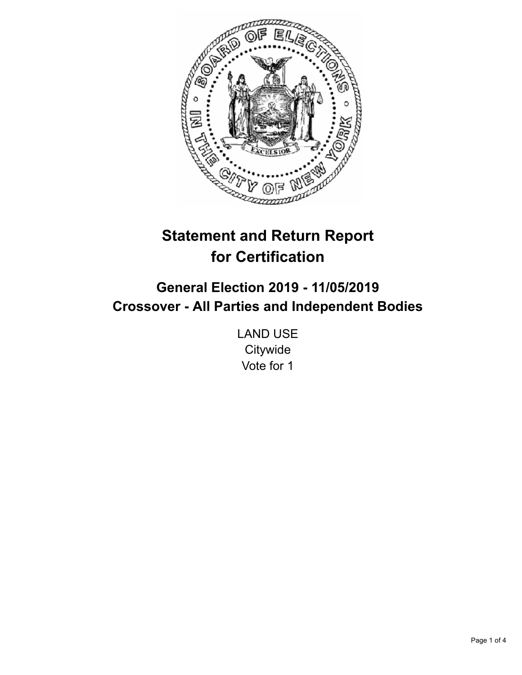

# **Statement and Return Report for Certification**

## **General Election 2019 - 11/05/2019 Crossover - All Parties and Independent Bodies**

LAND USE **Citywide** Vote for 1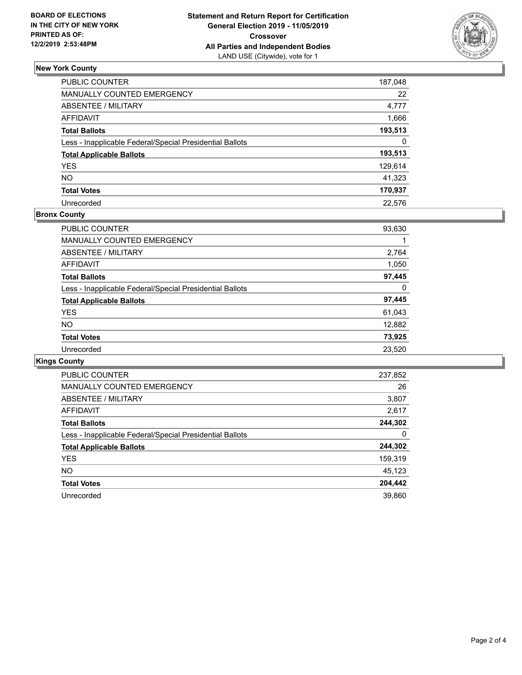

### **New York County**

| PUBLIC COUNTER                                           | 187,048 |
|----------------------------------------------------------|---------|
| MANUALLY COUNTED EMERGENCY                               | 22      |
| ABSENTEE / MILITARY                                      | 4,777   |
| <b>AFFIDAVIT</b>                                         | 1,666   |
| <b>Total Ballots</b>                                     | 193,513 |
| Less - Inapplicable Federal/Special Presidential Ballots | 0       |
| <b>Total Applicable Ballots</b>                          | 193,513 |
| <b>YES</b>                                               | 129,614 |
| NO.                                                      | 41,323  |
| <b>Total Votes</b>                                       | 170,937 |
| Unrecorded                                               | 22.576  |

#### **Bronx County**

| PUBLIC COUNTER                                           | 93,630 |
|----------------------------------------------------------|--------|
| <b>MANUALLY COUNTED EMERGENCY</b>                        |        |
| ABSENTEE / MILITARY                                      | 2,764  |
| <b>AFFIDAVIT</b>                                         | 1,050  |
| <b>Total Ballots</b>                                     | 97,445 |
| Less - Inapplicable Federal/Special Presidential Ballots | 0      |
| <b>Total Applicable Ballots</b>                          | 97,445 |
| <b>YES</b>                                               | 61,043 |
| <b>NO</b>                                                | 12,882 |
| <b>Total Votes</b>                                       | 73,925 |
| Unrecorded                                               | 23,520 |

## **Kings County**

| <b>PUBLIC COUNTER</b>                                    | 237,852 |
|----------------------------------------------------------|---------|
| <b>MANUALLY COUNTED EMERGENCY</b>                        | 26      |
| ABSENTEE / MILITARY                                      | 3,807   |
| AFFIDAVIT                                                | 2,617   |
| <b>Total Ballots</b>                                     | 244,302 |
| Less - Inapplicable Federal/Special Presidential Ballots | 0       |
| <b>Total Applicable Ballots</b>                          | 244,302 |
| <b>YES</b>                                               | 159,319 |
| NO.                                                      | 45,123  |
| <b>Total Votes</b>                                       | 204,442 |
| Unrecorded                                               | 39.860  |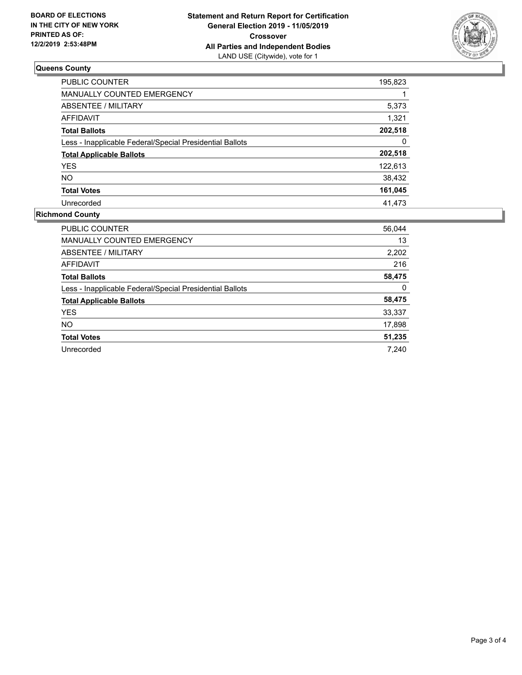

## **Queens County**

| PUBLIC COUNTER                                           | 195,823 |
|----------------------------------------------------------|---------|
| <b>MANUALLY COUNTED EMERGENCY</b>                        |         |
| ABSENTEE / MILITARY                                      | 5,373   |
| AFFIDAVIT                                                | 1,321   |
| <b>Total Ballots</b>                                     | 202,518 |
| Less - Inapplicable Federal/Special Presidential Ballots | 0       |
| <b>Total Applicable Ballots</b>                          | 202,518 |
| <b>YES</b>                                               | 122,613 |
| <b>NO</b>                                                | 38,432  |
| <b>Total Votes</b>                                       | 161,045 |
| Unrecorded                                               | 41,473  |

#### **Richmond County**

| <b>PUBLIC COUNTER</b>                                    | 56,044 |
|----------------------------------------------------------|--------|
| MANUALLY COUNTED EMERGENCY                               | 13     |
| ABSENTEE / MILITARY                                      | 2,202  |
| <b>AFFIDAVIT</b>                                         | 216    |
| <b>Total Ballots</b>                                     | 58,475 |
| Less - Inapplicable Federal/Special Presidential Ballots | 0      |
| <b>Total Applicable Ballots</b>                          | 58,475 |
| <b>YES</b>                                               | 33,337 |
| NO.                                                      | 17,898 |
| <b>Total Votes</b>                                       | 51,235 |
| Unrecorded                                               | 7.240  |